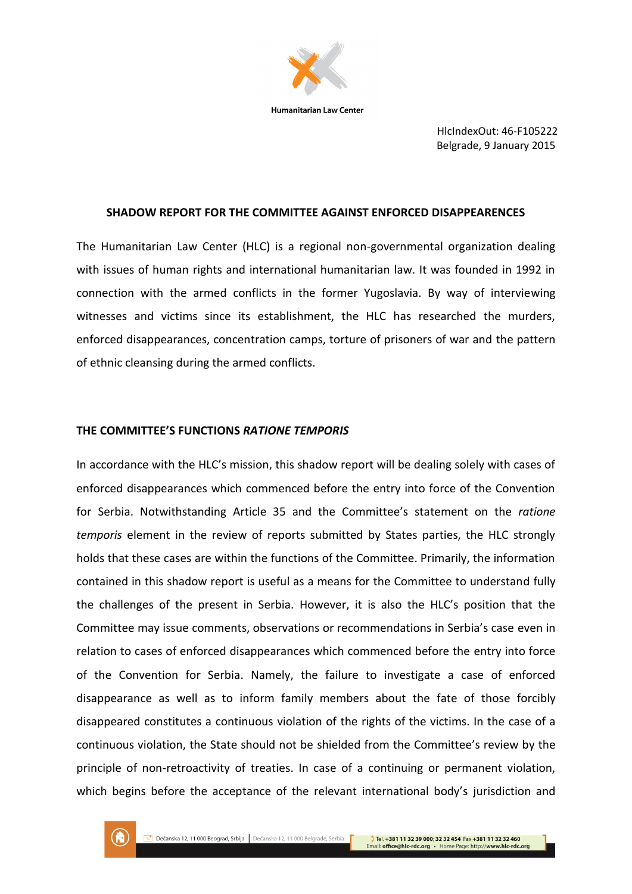

HlcIndexOut: 46-F105222 Belgrade, 9 January 2015

### **SHADOW REPORT FOR THE COMMITTEE AGAINST ENFORCED DISAPPEARENCES**

The Humanitarian Law Center (HLC) is a regional non-governmental organization dealing with issues of human rights and international humanitarian law. It was founded in 1992 in connection with the armed conflicts in the former Yugoslavia. By way of interviewing witnesses and victims since its establishment, the HLC has researched the murders, enforced disappearances, concentration camps, torture of prisoners of war and the pattern of ethnic cleansing during the armed conflicts.

### **THE COMMITTEE'S FUNCTIONS** *RATIONE TEMPORIS*

In accordance with the HLC's mission, this shadow report will be dealing solely with cases of enforced disappearances which commenced before the entry into force of the Convention for Serbia. Notwithstanding Article 35 and the Committee's statement on the *ratione temporis* element in the review of reports submitted by States parties, the HLC strongly holds that these cases are within the functions of the Committee. Primarily, the information contained in this shadow report is useful as a means for the Committee to understand fully the challenges of the present in Serbia. However, it is also the HLC's position that the Committee may issue comments, observations or recommendations in Serbia's case even in relation to cases of enforced disappearances which commenced before the entry into force of the Convention for Serbia. Namely, the failure to investigate a case of enforced disappearance as well as to inform family members about the fate of those forcibly disappeared constitutes a continuous violation of the rights of the victims. In the case of a continuous violation, the State should not be shielded from the Committee's review by the principle of non-retroactivity of treaties. In case of a continuing or permanent violation, which begins before the acceptance of the relevant international body's jurisdiction and

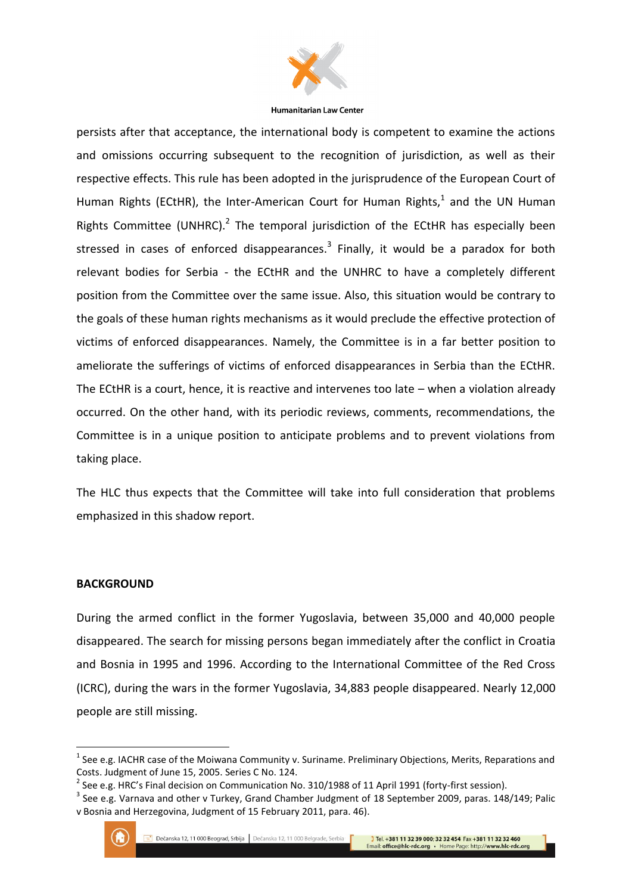

persists after that acceptance, the international body is competent to examine the actions and omissions occurring subsequent to the recognition of jurisdiction, as well as their respective effects. This rule has been adopted in the jurisprudence of the European Court of Human Rights (ECtHR), the Inter-American Court for Human Rights, $<sup>1</sup>$  and the UN Human</sup> Rights Committee (UNHRC). $^2$  The temporal jurisdiction of the ECtHR has especially been stressed in cases of enforced disappearances. $3$  Finally, it would be a paradox for both relevant bodies for Serbia - the ECtHR and the UNHRC to have a completely different position from the Committee over the same issue. Also, this situation would be contrary to the goals of these human rights mechanisms as it would preclude the effective protection of victims of enforced disappearances. Namely, the Committee is in a far better position to ameliorate the sufferings of victims of enforced disappearances in Serbia than the ECtHR. The ECtHR is a court, hence, it is reactive and intervenes too late – when a violation already occurred. On the other hand, with its periodic reviews, comments, recommendations, the Committee is in a unique position to anticipate problems and to prevent violations from taking place.

The HLC thus expects that the Committee will take into full consideration that problems emphasized in this shadow report.

### **BACKGROUND**

During the armed conflict in the former Yugoslavia, between 35,000 and 40,000 people disappeared. The search for missing persons began immediately after the conflict in Croatia and Bosnia in 1995 and 1996. According to the International Committee of the Red Cross (ICRC), during the wars in the former Yugoslavia, 34,883 people disappeared. Nearly 12,000 people are still missing.

 $3$  See e.g. Varnava and other v Turkey, Grand Chamber Judgment of 18 September 2009, paras. 148/149; Palic v Bosnia and Herzegovina, Judgment of 15 February 2011, para. 46).



 $<sup>1</sup>$  See e.g. IACHR case of the Moiwana Community v. Suriname. Preliminary Objections, Merits, Reparations and</sup> Costs. Judgment of June 15, 2005. Series C No. 124.

 $^{2}$  See e.g. HRC's Final decision on Communication No. 310/1988 of 11 April 1991 (forty-first session).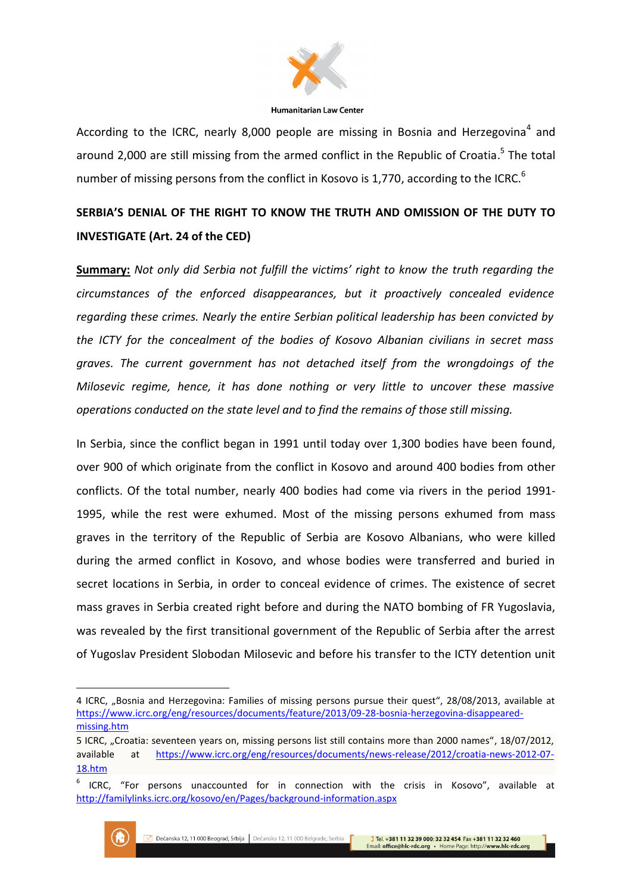

According to the ICRC, nearly 8,000 people are missing in Bosnia and Herzegovina<sup>4</sup> and around 2,000 are still missing from the armed conflict in the Republic of Croatia.<sup>5</sup> The total number of missing persons from the conflict in Kosovo is 1,770, according to the ICRC.<sup>6</sup>

# **SERBIA'S DENIAL OF THE RIGHT TO KNOW THE TRUTH AND OMISSION OF THE DUTY TO INVESTIGATE (Art. 24 of the CED)**

**Summary:** *Not only did Serbia not fulfill the victims' right to know the truth regarding the circumstances of the enforced disappearances, but it proactively concealed evidence regarding these crimes. Nearly the entire Serbian political leadership has been convicted by the ICTY for the concealment of the bodies of Kosovo Albanian civilians in secret mass graves. The current government has not detached itself from the wrongdoings of the Milosevic regime, hence, it has done nothing or very little to uncover these massive operations conducted on the state level and to find the remains of those still missing.*

In Serbia, since the conflict began in 1991 until today over 1,300 bodies have been found, over 900 of which originate from the conflict in Kosovo and around 400 bodies from other conflicts. Of the total number, nearly 400 bodies had come via rivers in the period 1991- 1995, while the rest were exhumed. Most of the missing persons exhumed from mass graves in the territory of the Republic of Serbia are Kosovo Albanians, who were killed during the armed conflict in Kosovo, and whose bodies were transferred and buried in secret locations in Serbia, in order to conceal evidence of crimes. The existence of secret mass graves in Serbia created right before and during the NATO bombing of FR Yugoslavia, was revealed by the first transitional government of the Republic of Serbia after the arrest of Yugoslav President Slobodan Milosevic and before his transfer to the ICTY detention unit

<sup>6</sup> ICRC, "For persons unaccounted for in connection with the crisis in Kosovo", available at <http://familylinks.icrc.org/kosovo/en/Pages/background-information.aspx>



 $\overline{\phantom{a}}$ 

<sup>4</sup> ICRC, "Bosnia and Herzegovina: Families of missing persons pursue their quest", 28/08/2013, available at [https://www.icrc.org/eng/resources/documents/feature/2013/09-28-bosnia-herzegovina-disappeared](https://www.icrc.org/eng/resources/documents/feature/2013/09-28-bosnia-herzegovina-disappeared-missing.htm)[missing.htm](https://www.icrc.org/eng/resources/documents/feature/2013/09-28-bosnia-herzegovina-disappeared-missing.htm)

<sup>5</sup> ICRC, "Croatia: seventeen years on, missing persons list still contains more than 2000 names", 18/07/2012, available at [https://www.icrc.org/eng/resources/documents/news-release/2012/croatia-news-2012-07-](https://www.icrc.org/eng/resources/documents/news-release/2012/croatia-news-2012-07-18.htm) [18.htm](https://www.icrc.org/eng/resources/documents/news-release/2012/croatia-news-2012-07-18.htm)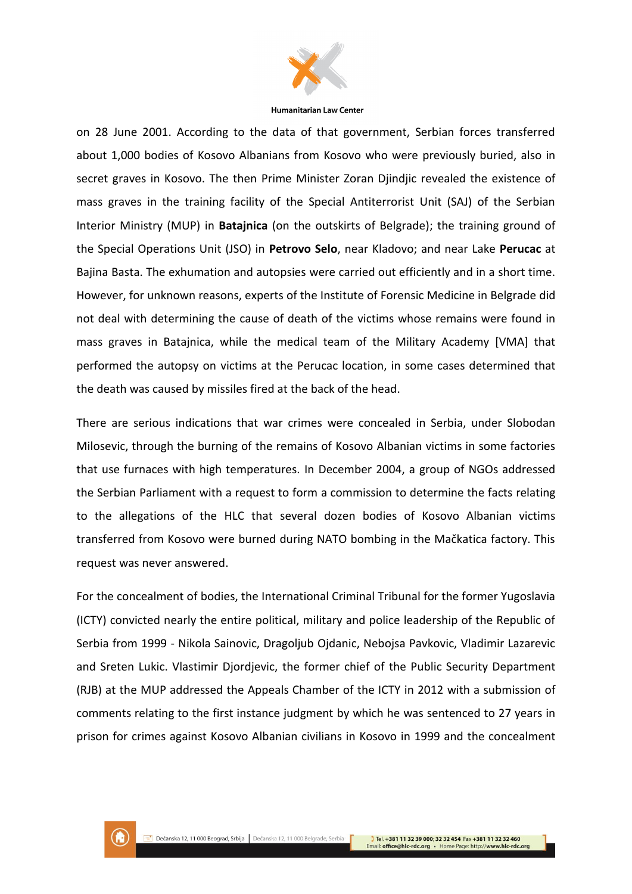

on 28 June 2001. According to the data of that government, Serbian forces transferred about 1,000 bodies of Kosovo Albanians from Kosovo who were previously buried, also in secret graves in Kosovo. The then Prime Minister Zoran Djindjic revealed the existence of mass graves in the training facility of the Special Antiterrorist Unit (SAJ) of the Serbian Interior Ministry (MUP) in **Batajnica** (on the outskirts of Belgrade); the training ground of the Special Operations Unit (JSO) in **Petrovo Selo**, near Kladovo; and near Lake **Perucac** at Bajina Basta. The exhumation and autopsies were carried out efficiently and in a short time. However, for unknown reasons, experts of the Institute of Forensic Medicine in Belgrade did not deal with determining the cause of death of the victims whose remains were found in mass graves in Batajnica, while the medical team of the Military Academy [VMA] that performed the autopsy on victims at the Perucac location, in some cases determined that the death was caused by missiles fired at the back of the head.

There are serious indications that war crimes were concealed in Serbia, under Slobodan Milosevic, through the burning of the remains of Kosovo Albanian victims in some factories that use furnaces with high temperatures. In December 2004, a group of NGOs addressed the Serbian Parliament with a request to form a commission to determine the facts relating to the allegations of the HLC that several dozen bodies of Kosovo Albanian victims transferred from Kosovo were burned during NATO bombing in the Mačkatica factory. This request was never answered.

For the concealment of bodies, the International Criminal Tribunal for the former Yugoslavia (ICTY) convicted nearly the entire political, military and police leadership of the Republic of Serbia from 1999 - Nikola Sainovic, Dragoljub Ojdanic, Nebojsa Pavkovic, Vladimir Lazarevic and Sreten Lukic. Vlastimir Djordjevic, the former chief of the Public Security Department (RJB) at the MUP addressed the Appeals Chamber of the ICTY in 2012 with a submission of comments relating to the first instance judgment by which he was sentenced to 27 years in prison for crimes against Kosovo Albanian civilians in Kosovo in 1999 and the concealment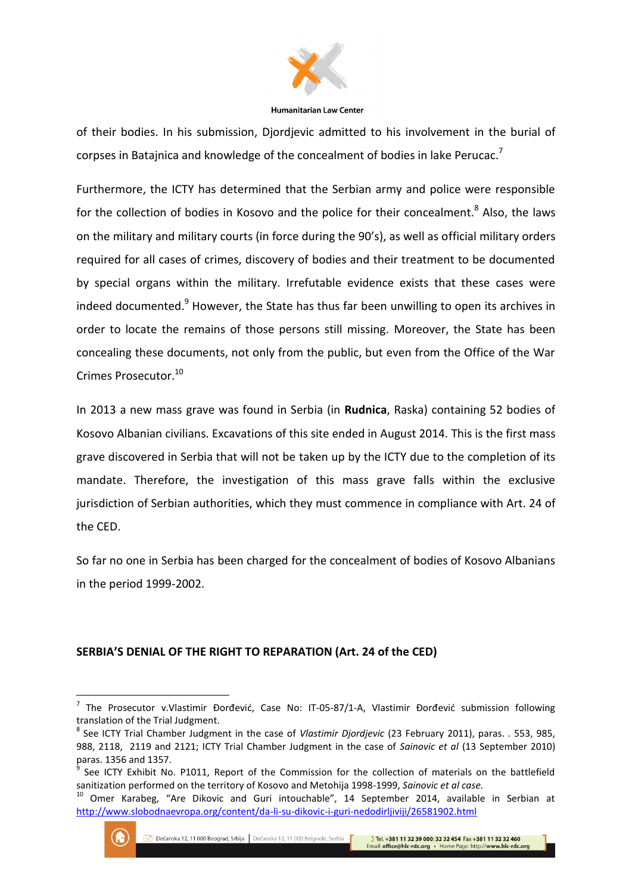

of their bodies. In his submission, Djordjevic admitted to his involvement in the burial of corpses in Batajnica and knowledge of the concealment of bodies in lake Perucac.<sup>7</sup>

Furthermore, the ICTY has determined that the Serbian army and police were responsible for the collection of bodies in Kosovo and the police for their concealment.<sup>8</sup> Also, the laws on the military and military courts (in force during the 90's), as well as official military orders required for all cases of crimes, discovery of bodies and their treatment to be documented by special organs within the military. Irrefutable evidence exists that these cases were indeed documented. $9$  However, the State has thus far been unwilling to open its archives in order to locate the remains of those persons still missing. Moreover, the State has been concealing these documents, not only from the public, but even from the Office of the War Crimes Prosecutor.<sup>10</sup>

In 2013 a new mass grave was found in Serbia (in **Rudnica**, Raska) containing 52 bodies of Kosovo Albanian civilians. Excavations of this site ended in August 2014. This is the first mass grave discovered in Serbia that will not be taken up by the ICTY due to the completion of its mandate. Therefore, the investigation of this mass grave falls within the exclusive jurisdiction of Serbian authorities, which they must commence in compliance with Art. 24 of the CED.

So far no one in Serbia has been charged for the concealment of bodies of Kosovo Albanians in the period 1999-2002.

# **SERBIA'S DENIAL OF THE RIGHT TO REPARATION (Art. 24 of the CED)**

<sup>10</sup> Omer Karabeg, "Are Dikovic and Guri intouchable", 14 September 2014, available in Serbian at <http://www.slobodnaevropa.org/content/da-li-su-dikovic-i-guri-nedodirljiviji/26581902.html>



 $\overline{\phantom{a}}$ 

<sup>&</sup>lt;sup>7</sup> The Prosecutor v.Vlastimir Đorđević, Case No: IT-05-87/1-A, Vlastimir Đorđević submission following translation of the Trial Judgment.

<sup>8</sup> See ICTY Trial Chamber Judgment in the case of *Vlastimir Djordjevic* (23 February 2011), paras. . 553, 985, 988, 2118, 2119 and 2121; ICTY Trial Chamber Judgment in the case of *Sainovic et al* (13 September 2010) paras. 1356 and 1357.

<sup>9</sup> See ICTY Exhibit No. P1011, Report of the Commission for the collection of materials on the battlefield sanitization performed on the territory of Kosovo and Metohija 1998-1999, *Sainovic et al case.*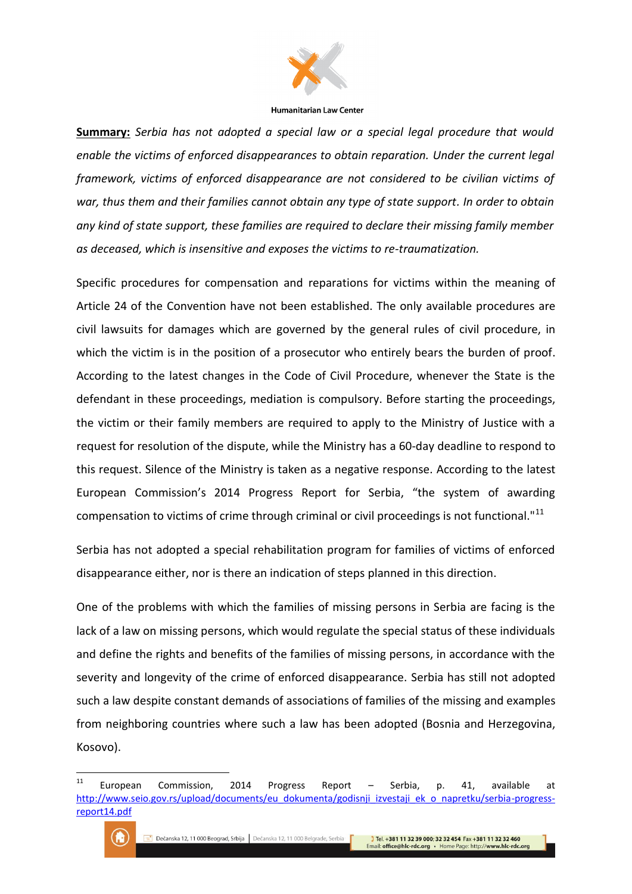

**Summary:** *Serbia has not adopted a special law or a special legal procedure that would enable the victims of enforced disappearances to obtain reparation. Under the current legal framework, victims of enforced disappearance are not considered to be civilian victims of war, thus them and their families cannot obtain any type of state support. In order to obtain any kind of state support, these families are required to declare their missing family member as deceased, which is insensitive and exposes the victims to re-traumatization.*

Specific procedures for compensation and reparations for victims within the meaning of Article 24 of the Convention have not been established. The only available procedures are civil lawsuits for damages which are governed by the general rules of civil procedure, in which the victim is in the position of a prosecutor who entirely bears the burden of proof. According to the latest changes in the Code of Civil Procedure, whenever the State is the defendant in these proceedings, mediation is compulsory. Before starting the proceedings, the victim or their family members are required to apply to the Ministry of Justice with a request for resolution of the dispute, while the Ministry has a 60-day deadline to respond to this request. Silence of the Ministry is taken as a negative response. According to the latest European Commission's 2014 Progress Report for Serbia, "the system of awarding compensation to victims of crime through criminal or civil proceedings is not functional."<sup>11</sup>

Serbia has not adopted a special rehabilitation program for families of victims of enforced disappearance either, nor is there an indication of steps planned in this direction.

One of the problems with which the families of missing persons in Serbia are facing is the lack of a law on missing persons, which would regulate the special status of these individuals and define the rights and benefits of the families of missing persons, in accordance with the severity and longevity of the crime of enforced disappearance. Serbia has still not adopted such a law despite constant demands of associations of families of the missing and examples from neighboring countries where such a law has been adopted (Bosnia and Herzegovina, Kosovo).

 $11$ <sup>11</sup> European Commission, 2014 Progress Report – Serbia, p. 41, available at [http://www.seio.gov.rs/upload/documents/eu\\_dokumenta/godisnji\\_izvestaji\\_ek\\_o\\_napretku/serbia-progress](http://www.seio.gov.rs/upload/documents/eu_dokumenta/godisnji_izvestaji_ek_o_napretku/serbia-progress-report14.pdf)[report14.pdf](http://www.seio.gov.rs/upload/documents/eu_dokumenta/godisnji_izvestaji_ek_o_napretku/serbia-progress-report14.pdf)

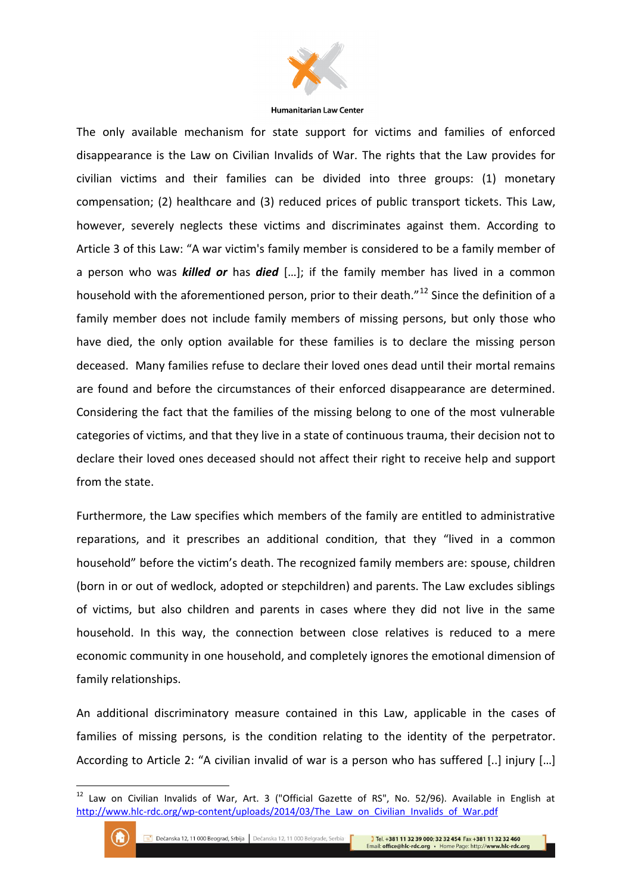

The only available mechanism for state support for victims and families of enforced disappearance is the Law on Civilian Invalids of War. The rights that the Law provides for civilian victims and their families can be divided into three groups: (1) monetary compensation; (2) healthcare and (3) reduced prices of public transport tickets. This Law, however, severely neglects these victims and discriminates against them. According to Article 3 of this Law: "A war victim's family member is considered to be a family member of a person who was *killed or* has *died* […]; if the family member has lived in a common household with the aforementioned person, prior to their death.<sup>"12</sup> Since the definition of a family member does not include family members of missing persons, but only those who have died, the only option available for these families is to declare the missing person deceased. Many families refuse to declare their loved ones dead until their mortal remains are found and before the circumstances of their enforced disappearance are determined. Considering the fact that the families of the missing belong to one of the most vulnerable categories of victims, and that they live in a state of continuous trauma, their decision not to declare their loved ones deceased should not affect their right to receive help and support from the state.

Furthermore, the Law specifies which members of the family are entitled to administrative reparations, and it prescribes an additional condition, that they "lived in a common household" before the victim's death. The recognized family members are: spouse, children (born in or out of wedlock, adopted or stepchildren) and parents. The Law excludes siblings of victims, but also children and parents in cases where they did not live in the same household. In this way, the connection between close relatives is reduced to a mere economic community in one household, and completely ignores the emotional dimension of family relationships.

An additional discriminatory measure contained in this Law, applicable in the cases of families of missing persons, is the condition relating to the identity of the perpetrator. According to Article 2: "A civilian invalid of war is a person who has suffered [..] injury […]

<sup>&</sup>lt;sup>12</sup> Law on Civilian Invalids of War, Art. 3 ("Official Gazette of RS", No. 52/96). Available in English at http://www.hlc-rdc.org/wp-content/uploads/2014/03/The Law on Civilian Invalids of War.pdf



1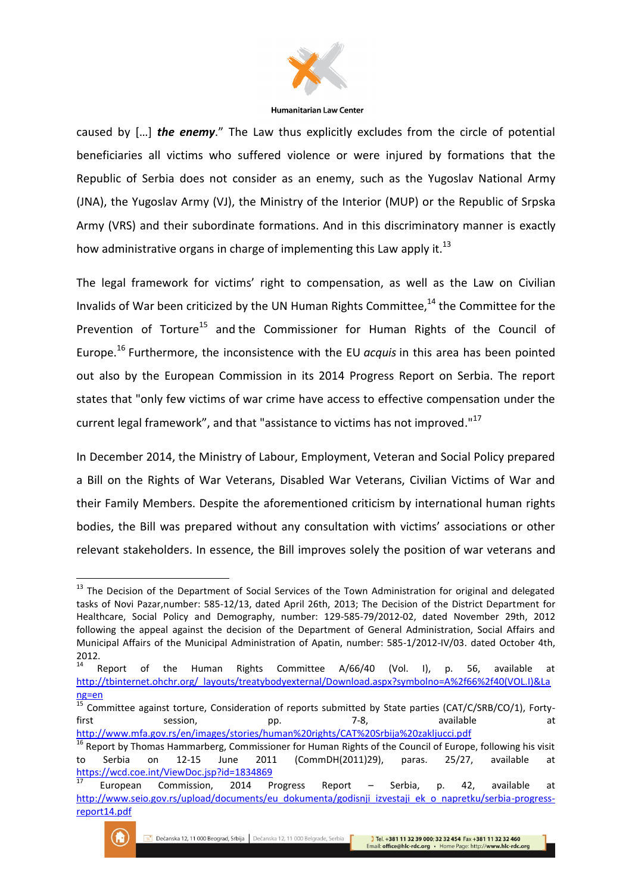

caused by […] *the enemy*." The Law thus explicitly excludes from the circle of potential beneficiaries all victims who suffered violence or were injured by formations that the Republic of Serbia does not consider as an enemy, such as the Yugoslav National Army (JNA), the Yugoslav Army (VJ), the Ministry of the Interior (MUP) or the Republic of Srpska Army (VRS) and their subordinate formations. And in this discriminatory manner is exactly how administrative organs in charge of implementing this Law apply it.<sup>13</sup>

The legal framework for victims' right to compensation, as well as the Law on Civilian Invalids of War been criticized by the UN Human Rights Committee, $14$  the Committee for the Prevention of Torture<sup>15</sup> and the Commissioner for Human Rights of the Council of Europe.<sup>16</sup> Furthermore, the inconsistence with the EU *acquis* in this area has been pointed out also by the European Commission in its 2014 Progress Report on Serbia. The report states that "only few victims of war crime have access to effective compensation under the current legal framework", and that "assistance to victims has not improved."<sup>17</sup>

In December 2014, the Ministry of Labour, Employment, Veteran and Social Policy prepared a Bill on the Rights of War Veterans, Disabled War Veterans, Civilian Victims of War and their Family Members. Despite the aforementioned criticism by international human rights bodies, the Bill was prepared without any consultation with victims' associations or other relevant stakeholders. In essence, the Bill improves solely the position of war veterans and

<sup>17</sup> European Commission, 2014 Progress Report – Serbia, p. 42, available at [http://www.seio.gov.rs/upload/documents/eu\\_dokumenta/godisnji\\_izvestaji\\_ek\\_o\\_napretku/serbia-progress](http://www.seio.gov.rs/upload/documents/eu_dokumenta/godisnji_izvestaji_ek_o_napretku/serbia-progress-report14.pdf)[report14.pdf](http://www.seio.gov.rs/upload/documents/eu_dokumenta/godisnji_izvestaji_ek_o_napretku/serbia-progress-report14.pdf)



1

<sup>&</sup>lt;sup>13</sup> The Decision of the Department of Social Services of the Town Administration for original and delegated tasks of Novi Pazar,number: 585-12/13, dated April 26th, 2013; The Decision of the District Department for Healthcare, Social Policy and Demography, number: 129-585-79/2012-02, dated November 29th, 2012 following the appeal against the decision of the Department of General Administration, Social Affairs and Municipal Affairs of the Municipal Administration of Apatin, number: 585-1/2012-IV/03. dated October 4th, 2012.<br> $14$  Report

of the Human Rights Committee A/66/40 (Vol. I), p. 56, available at [http://tbinternet.ohchr.org/\\_layouts/treatybodyexternal/Download.aspx?symbolno=A%2f66%2f40\(VOL.I\)&La](http://tbinternet.ohchr.org/_layouts/treatybodyexternal/Download.aspx?symbolno=A%2f66%2f40(VOL.I)&Lang=en) [ng=en](http://tbinternet.ohchr.org/_layouts/treatybodyexternal/Download.aspx?symbolno=A%2f66%2f40(VOL.I)&Lang=en)

 $\frac{15}{15}$  Committee against torture, Consideration of reports submitted by State parties (CAT/C/SRB/CO/1), Fortyfirst session, pp. 7-8, available at <http://www.mfa.gov.rs/en/images/stories/human%20rights/CAT%20Srbija%20zakljucci.pdf>

<sup>&</sup>lt;sup>16</sup> Report by Thomas Hammarberg, Commissioner for Human Rights of the Council of Europe, following his visit to Serbia on 12-15 June 2011 (CommDH(2011)29), paras. 25/27, available at <https://wcd.coe.int/ViewDoc.jsp?id=1834869>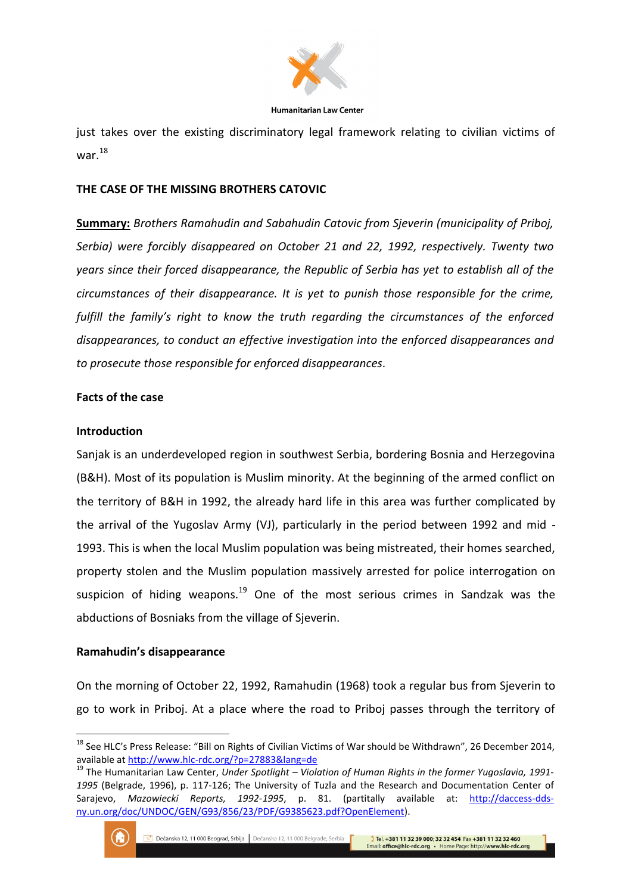

just takes over the existing discriminatory legal framework relating to civilian victims of war.<sup>18</sup>

# **THE CASE OF THE MISSING BROTHERS CATOVIC**

**Summary:** *Brothers Ramahudin and Sabahudin Catovic from Sjeverin (municipality of Priboj, Serbia) were forcibly disappeared on October 21 and 22, 1992, respectively. Twenty two years since their forced disappearance, the Republic of Serbia has yet to establish all of the circumstances of their disappearance. It is yet to punish those responsible for the crime, fulfill the family's right to know the truth regarding the circumstances of the enforced disappearances, to conduct an effective investigation into the enforced disappearances and to prosecute those responsible for enforced disappearances.*

# **Facts of the case**

### **Introduction**

Sanjak is an underdeveloped region in southwest Serbia, bordering Bosnia and Herzegovina (B&H). Most of its population is Muslim minority. At the beginning of the armed conflict on the territory of B&H in 1992, the already hard life in this area was further complicated by the arrival of the Yugoslav Army (VJ), particularly in the period between 1992 and mid - 1993. This is when the local Muslim population was being mistreated, their homes searched, property stolen and the Muslim population massively arrested for police interrogation on suspicion of hiding weapons.<sup>19</sup> One of the most serious crimes in Sandzak was the abductions of Bosniaks from the village of Sjeverin.

# **Ramahudin's disappearance**

On the morning of October 22, 1992, Ramahudin (1968) took a regular bus from Sjeverin to go to work in Priboj. At a place where the road to Priboj passes through the territory of

<sup>19</sup> The Humanitarian Law Center, *Under Spotlight – Violation of Human Rights in the former Yugoslavia, 1991- 1995* (Belgrade, 1996), p. 117-126; The University of Tuzla and the Research and Documentation Center of Sarajevo, *Mazowiecki Reports, 1992-1995*, p. 81. (partitally available at: [http://daccess-dds](http://daccess-dds-ny.un.org/doc/UNDOC/GEN/G93/856/23/PDF/G9385623.pdf?OpenElement)[ny.un.org/doc/UNDOC/GEN/G93/856/23/PDF/G9385623.pdf?OpenElement\)](http://daccess-dds-ny.un.org/doc/UNDOC/GEN/G93/856/23/PDF/G9385623.pdf?OpenElement).



<sup>&</sup>lt;sup>18</sup> See HLC's Press Release: "Bill on Rights of Civilian Victims of War should be Withdrawn", 26 December 2014, available a[t http://www.hlc-rdc.org/?p=27883&lang=de](http://www.hlc-rdc.org/?p=27883&lang=de)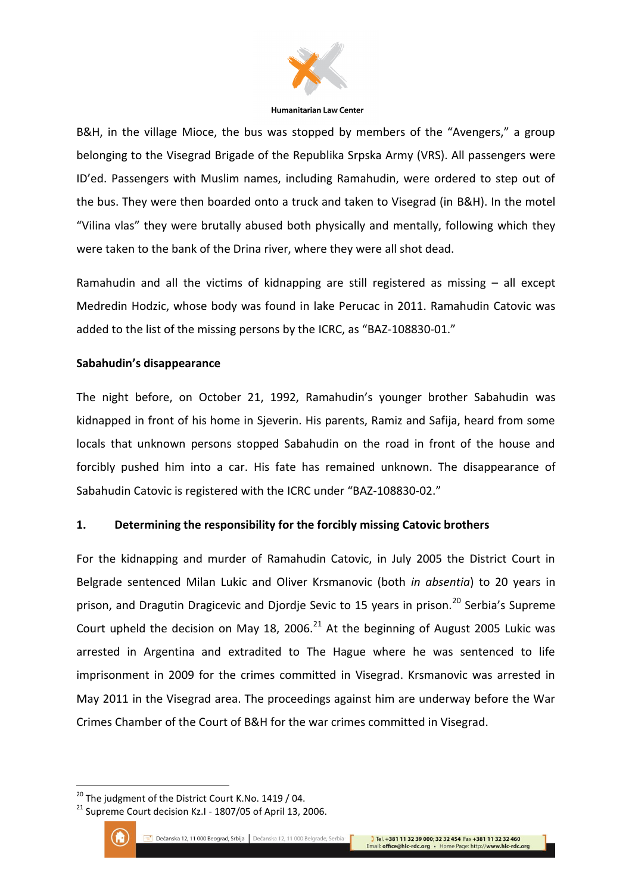

B&H, in the village Mioce, the bus was stopped by members of the "Avengers," a group belonging to the Visegrad Brigade of the Republika Srpska Army (VRS). All passengers were ID'ed. Passengers with Muslim names, including Ramahudin, were ordered to step out of the bus. They were then boarded onto a truck and taken to Visegrad (in B&H). In the motel "Vilina vlas" they were brutally abused both physically and mentally, following which they were taken to the bank of the Drina river, where they were all shot dead.

Ramahudin and all the victims of kidnapping are still registered as missing – all except Medredin Hodzic, whose body was found in lake Perucac in 2011. Ramahudin Catovic was added to the list of the missing persons by the ICRC, as "BAZ-108830-01."

# **Sabahudin's disappearance**

The night before, on October 21, 1992, Ramahudin's younger brother Sabahudin was kidnapped in front of his home in Sjeverin. His parents, Ramiz and Safija, heard from some locals that unknown persons stopped Sabahudin on the road in front of the house and forcibly pushed him into a car. His fate has remained unknown. The disappearance of Sabahudin Catovic is registered with the ICRC under "BAZ-108830-02."

# **1. Determining the responsibility for the forcibly missing Catovic brothers**

For the kidnapping and murder of Ramahudin Catovic, in July 2005 the District Court in Belgrade sentenced Milan Lukic and Oliver Krsmanovic (both *in absentia*) to 20 years in prison, and Dragutin Dragicevic and Diordie Sevic to 15 years in prison.<sup>20</sup> Serbia's Supreme Court upheld the decision on May 18, 2006. $^{21}$  At the beginning of August 2005 Lukic was arrested in Argentina and extradited to The Hague where he was sentenced to life imprisonment in 2009 for the crimes committed in Visegrad. Krsmanovic was arrested in May 2011 in the Visegrad area. The proceedings against him are underway before the War Crimes Chamber of the Court of B&H for the war crimes committed in Visegrad.

<sup>&</sup>lt;sup>21</sup> Supreme Court decision Kz.I - 1807/05 of April 13, 2006.



1

 $20$  The judgment of the District Court K.No. 1419 / 04.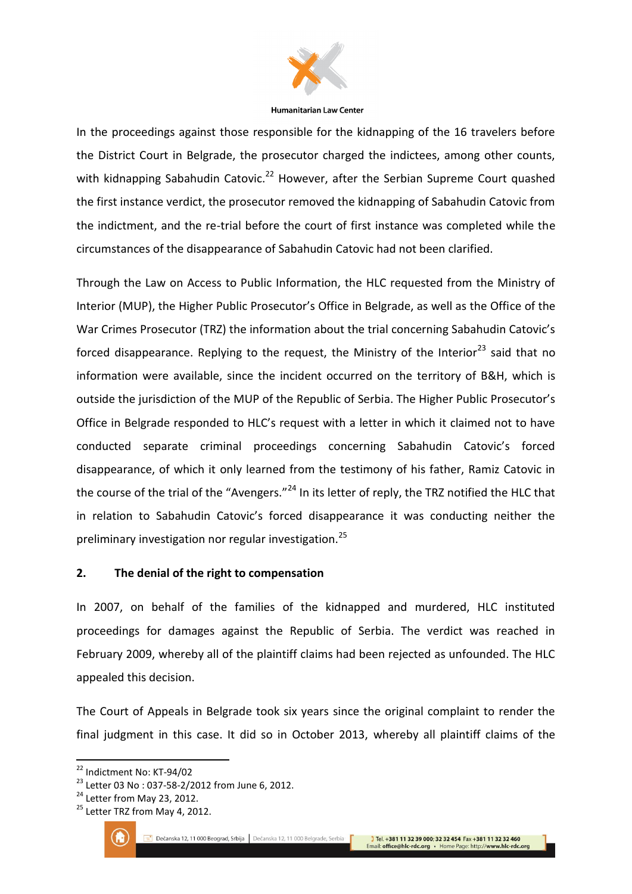

In the proceedings against those responsible for the kidnapping of the 16 travelers before the District Court in Belgrade, the prosecutor charged the indictees, among other counts, with kidnapping Sabahudin Catovic.<sup>22</sup> However, after the Serbian Supreme Court quashed the first instance verdict, the prosecutor removed the kidnapping of Sabahudin Catovic from the indictment, and the re-trial before the court of first instance was completed while the circumstances of the disappearance of Sabahudin Catovic had not been clarified.

Through the Law on Access to Public Information, the HLC requested from the Ministry of Interior (MUP), the Higher Public Prosecutor's Office in Belgrade, as well as the Office of the War Crimes Prosecutor (TRZ) the information about the trial concerning Sabahudin Catovic's forced disappearance. Replying to the request, the Ministry of the Interior<sup>23</sup> said that no information were available, since the incident occurred on the territory of B&H, which is outside the jurisdiction of the MUP of the Republic of Serbia. The Higher Public Prosecutor's Office in Belgrade responded to HLC's request with a letter in which it claimed not to have conducted separate criminal proceedings concerning Sabahudin Catovic's forced disappearance, of which it only learned from the testimony of his father, Ramiz Catovic in the course of the trial of the "Avengers."<sup>24</sup> In its letter of reply, the TRZ notified the HLC that in relation to Sabahudin Catovic's forced disappearance it was conducting neither the preliminary investigation nor regular investigation.<sup>25</sup>

# **2. The denial of the right to compensation**

In 2007, on behalf of the families of the kidnapped and murdered, HLC instituted proceedings for damages against the Republic of Serbia. The verdict was reached in February 2009, whereby all of the plaintiff claims had been rejected as unfounded. The HLC appealed this decision.

The Court of Appeals in Belgrade took six years since the original complaint to render the final judgment in this case. It did so in October 2013, whereby all plaintiff claims of the

<sup>&</sup>lt;sup>25</sup> Letter TRZ from May 4, 2012.



<sup>&</sup>lt;sup>22</sup> Indictment No: KT-94/02

<sup>23</sup> Letter 03 No : 037-58-2/2012 from June 6, 2012.

<sup>&</sup>lt;sup>24</sup> Letter from May 23, 2012.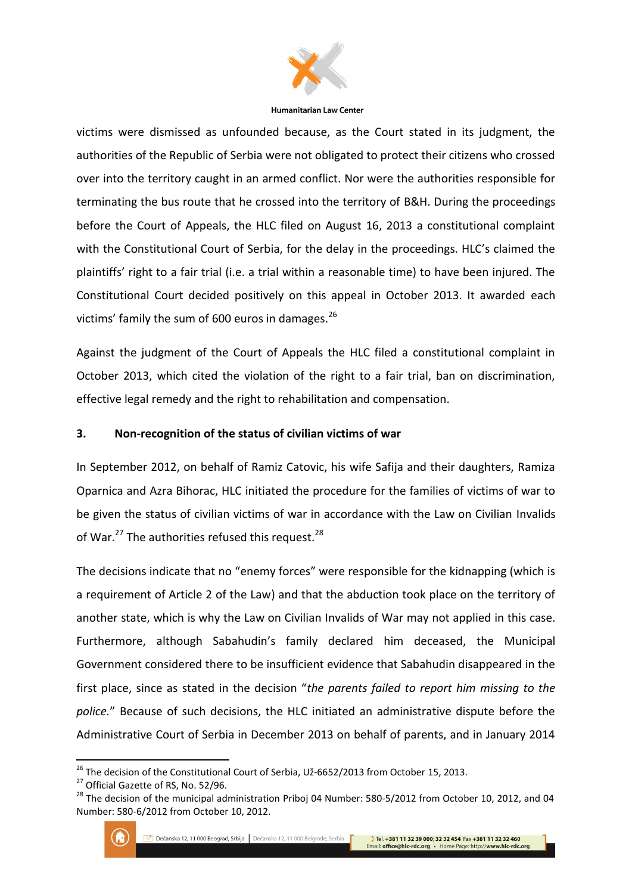

victims were dismissed as unfounded because, as the Court stated in its judgment, the authorities of the Republic of Serbia were not obligated to protect their citizens who crossed over into the territory caught in an armed conflict. Nor were the authorities responsible for terminating the bus route that he crossed into the territory of B&H. During the proceedings before the Court of Appeals, the HLC filed on August 16, 2013 a constitutional complaint with the Constitutional Court of Serbia, for the delay in the proceedings. HLC's claimed the plaintiffs' right to a fair trial (i.e. a trial within a reasonable time) to have been injured. The Constitutional Court decided positively on this appeal in October 2013. It awarded each victims' family the sum of 600 euros in damages.<sup>26</sup>

Against the judgment of the Court of Appeals the HLC filed a constitutional complaint in October 2013, which cited the violation of the right to a fair trial, ban on discrimination, effective legal remedy and the right to rehabilitation and compensation.

# **3. Non-recognition of the status of civilian victims of war**

In September 2012, on behalf of Ramiz Catovic, his wife Safija and their daughters, Ramiza Oparnica and Azra Bihorac, HLC initiated the procedure for the families of victims of war to be given the status of civilian victims of war in accordance with the Law on Civilian Invalids of War.<sup>27</sup> The authorities refused this request.<sup>28</sup>

The decisions indicate that no "enemy forces" were responsible for the kidnapping (which is a requirement of Article 2 of the Law) and that the abduction took place on the territory of another state, which is why the Law on Civilian Invalids of War may not applied in this case. Furthermore, although Sabahudin's family declared him deceased, the Municipal Government considered there to be insufficient evidence that Sabahudin disappeared in the first place, since as stated in the decision "*the parents failed to report him missing to the police.*" Because of such decisions, the HLC initiated an administrative dispute before the Administrative Court of Serbia in December 2013 on behalf of parents, and in January 2014

<sup>&</sup>lt;sup>28</sup> The decision of the municipal administration Priboj 04 Number: 580-5/2012 from October 10, 2012, and 04 Number: 580-6/2012 from October 10, 2012.



<sup>&</sup>lt;sup>26</sup> The decision of the Constitutional Court of Serbia, Už-6652/2013 from October 15, 2013.

<sup>&</sup>lt;sup>27</sup> Official Gazette of RS, No. 52/96.